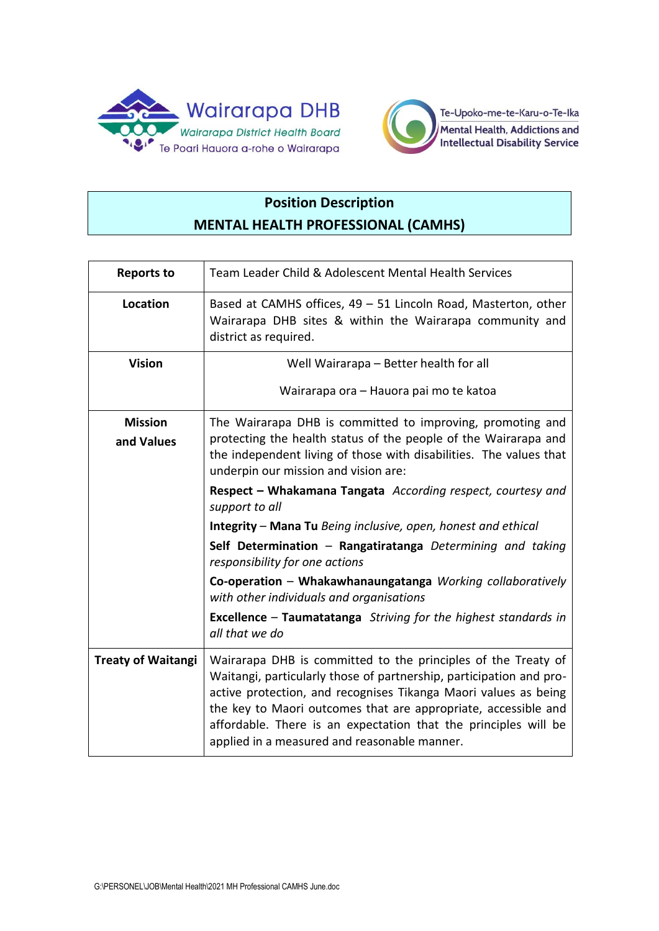



# **Position Description MENTAL HEALTH PROFESSIONAL (CAMHS)**

| <b>Reports to</b>            | Team Leader Child & Adolescent Mental Health Services                                                                                                                                                                                                                                                                                                                                        |  |
|------------------------------|----------------------------------------------------------------------------------------------------------------------------------------------------------------------------------------------------------------------------------------------------------------------------------------------------------------------------------------------------------------------------------------------|--|
| <b>Location</b>              | Based at CAMHS offices, 49 - 51 Lincoln Road, Masterton, other<br>Wairarapa DHB sites & within the Wairarapa community and<br>district as required.                                                                                                                                                                                                                                          |  |
| <b>Vision</b>                | Well Wairarapa - Better health for all                                                                                                                                                                                                                                                                                                                                                       |  |
|                              | Wairarapa ora – Hauora pai mo te katoa                                                                                                                                                                                                                                                                                                                                                       |  |
| <b>Mission</b><br>and Values | The Wairarapa DHB is committed to improving, promoting and<br>protecting the health status of the people of the Wairarapa and<br>the independent living of those with disabilities. The values that<br>underpin our mission and vision are:                                                                                                                                                  |  |
|                              | Respect - Whakamana Tangata According respect, courtesy and<br>support to all                                                                                                                                                                                                                                                                                                                |  |
|                              | Integrity - Mana Tu Being inclusive, open, honest and ethical                                                                                                                                                                                                                                                                                                                                |  |
|                              | Self Determination - Rangatiratanga Determining and taking<br>responsibility for one actions                                                                                                                                                                                                                                                                                                 |  |
|                              | Co-operation - Whakawhanaungatanga Working collaboratively<br>with other individuals and organisations                                                                                                                                                                                                                                                                                       |  |
|                              | <b>Excellence - Taumatatanga</b> Striving for the highest standards in<br>all that we do                                                                                                                                                                                                                                                                                                     |  |
| <b>Treaty of Waitangi</b>    | Wairarapa DHB is committed to the principles of the Treaty of<br>Waitangi, particularly those of partnership, participation and pro-<br>active protection, and recognises Tikanga Maori values as being<br>the key to Maori outcomes that are appropriate, accessible and<br>affordable. There is an expectation that the principles will be<br>applied in a measured and reasonable manner. |  |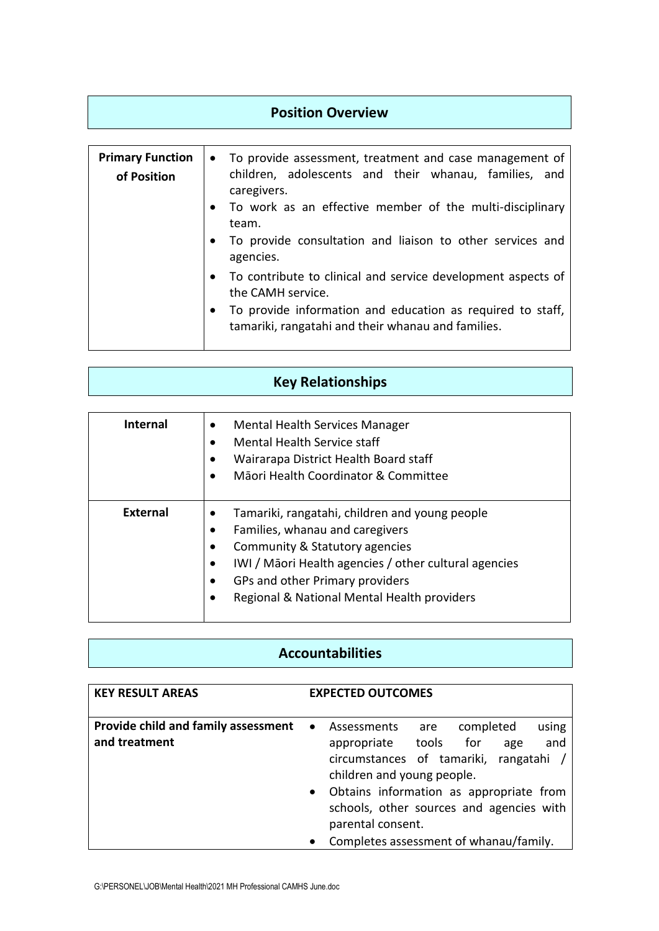### **Position Overview**

| <b>Primary Function</b><br>of Position | • To provide assessment, treatment and case management of<br>children, adolescents and their whanau, families, and<br>caregivers.<br>• To work as an effective member of the multi-disciplinary<br>team.<br>To provide consultation and liaison to other services and<br>agencies. |
|----------------------------------------|------------------------------------------------------------------------------------------------------------------------------------------------------------------------------------------------------------------------------------------------------------------------------------|
|                                        | To contribute to clinical and service development aspects of<br>the CAMH service.<br>To provide information and education as required to staff,<br>$\bullet$<br>tamariki, rangatahi and their whanau and families.                                                                 |

| <b>Key Relationships</b> |                                                       |  |
|--------------------------|-------------------------------------------------------|--|
|                          |                                                       |  |
| <b>Internal</b>          | Mental Health Services Manager<br>$\bullet$           |  |
|                          | Mental Health Service staff                           |  |
|                          | Wairarapa District Health Board staff                 |  |
|                          | Māori Health Coordinator & Committee                  |  |
|                          |                                                       |  |
| <b>External</b>          | Tamariki, rangatahi, children and young people        |  |
|                          | Families, whanau and caregivers                       |  |
|                          | Community & Statutory agencies                        |  |
|                          | IWI / Māori Health agencies / other cultural agencies |  |
|                          | GPs and other Primary providers                       |  |
|                          | Regional & National Mental Health providers           |  |
|                          |                                                       |  |

### **Accountabilities**

| <b>KEY RESULT AREAS</b>                              | <b>EXPECTED OUTCOMES</b>                                                                                                                                                                                                                                                                                                                                   |
|------------------------------------------------------|------------------------------------------------------------------------------------------------------------------------------------------------------------------------------------------------------------------------------------------------------------------------------------------------------------------------------------------------------------|
| Provide child and family assessment<br>and treatment | completed<br>using<br>Assessments<br>$\bullet$<br>are<br>tools<br>for<br>appropriate<br>and<br>age<br>circumstances of tamariki, rangatahi /<br>children and young people.<br>Obtains information as appropriate from<br>$\bullet$<br>schools, other sources and agencies with<br>parental consent.<br>Completes assessment of whanau/family.<br>$\bullet$ |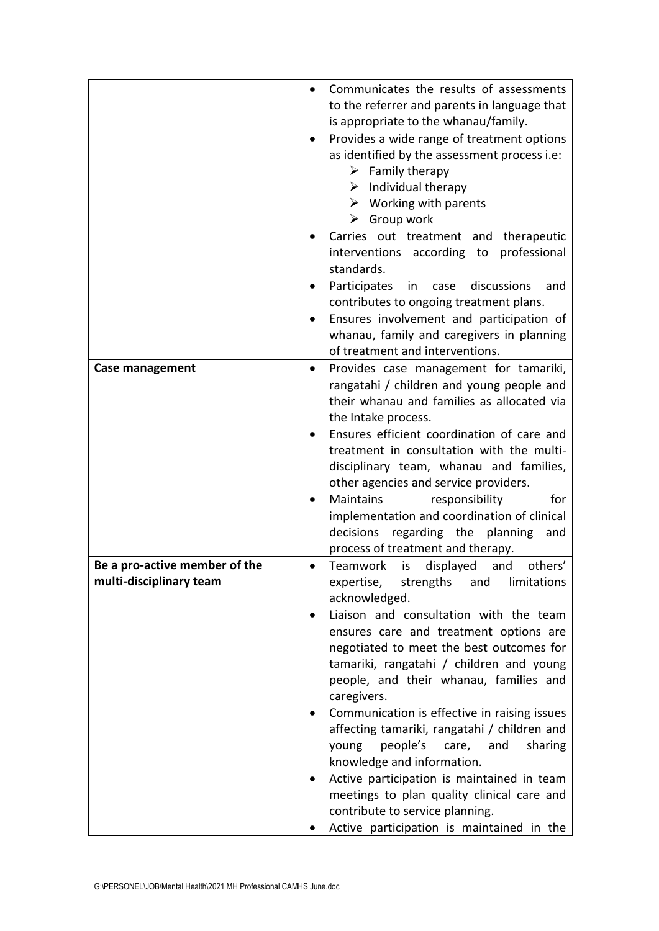|                               |           | Communicates the results of assessments          |
|-------------------------------|-----------|--------------------------------------------------|
|                               |           | to the referrer and parents in language that     |
|                               |           | is appropriate to the whanau/family.             |
|                               |           | Provides a wide range of treatment options       |
|                               |           | as identified by the assessment process i.e:     |
|                               |           | $\triangleright$ Family therapy                  |
|                               |           | $\triangleright$ Individual therapy              |
|                               |           |                                                  |
|                               |           | $\triangleright$ Working with parents            |
|                               |           | $\triangleright$ Group work                      |
|                               |           | Carries out treatment and therapeutic            |
|                               |           | interventions according to<br>professional       |
|                               |           | standards.                                       |
|                               |           | Participates<br>discussions<br>in<br>case<br>and |
|                               |           | contributes to ongoing treatment plans.          |
|                               |           | Ensures involvement and participation of         |
|                               |           | whanau, family and caregivers in planning        |
|                               |           | of treatment and interventions.                  |
| Case management               | $\bullet$ | Provides case management for tamariki,           |
|                               |           | rangatahi / children and young people and        |
|                               |           | their whanau and families as allocated via       |
|                               |           | the Intake process.                              |
|                               |           | Ensures efficient coordination of care and       |
|                               |           | treatment in consultation with the multi-        |
|                               |           | disciplinary team, whanau and families,          |
|                               |           |                                                  |
|                               |           | other agencies and service providers.            |
|                               |           | <b>Maintains</b><br>responsibility<br>for        |
|                               |           | implementation and coordination of clinical      |
|                               |           | regarding the planning<br>decisions<br>and       |
|                               |           | process of treatment and therapy.                |
| Be a pro-active member of the | $\bullet$ | Teamwork<br>displayed<br>others'<br>is<br>and    |
| multi-disciplinary team       |           | expertise, strengths<br>limitations<br>and       |
|                               |           | acknowledged.                                    |
|                               | $\bullet$ | Liaison and consultation with the team           |
|                               |           | ensures care and treatment options are           |
|                               |           | negotiated to meet the best outcomes for         |
|                               |           | tamariki, rangatahi / children and young         |
|                               |           | people, and their whanau, families and           |
|                               |           | caregivers.                                      |
|                               | ٠         | Communication is effective in raising issues     |
|                               |           | affecting tamariki, rangatahi / children and     |
|                               |           | people's<br>and<br>young<br>care,<br>sharing     |
|                               |           | knowledge and information.                       |
|                               |           |                                                  |
|                               |           | Active participation is maintained in team       |
|                               |           | meetings to plan quality clinical care and       |
|                               |           | contribute to service planning.                  |
|                               |           | Active participation is maintained in the        |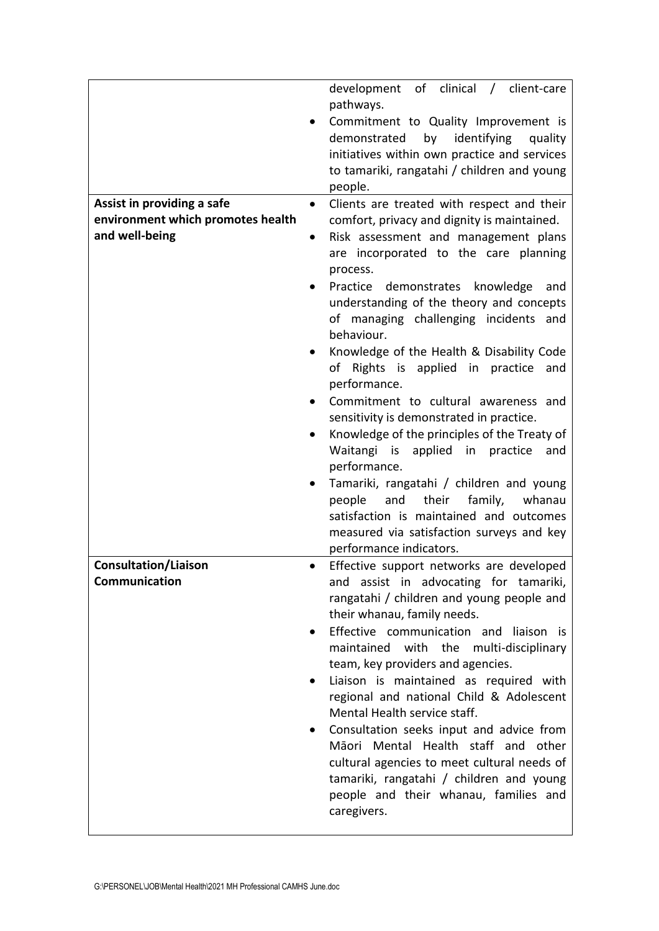|                                   | ٠         | development of clinical / client-care<br>pathways.<br>Commitment to Quality Improvement is<br>demonstrated<br>by<br>identifying<br>quality<br>initiatives within own practice and services<br>to tamariki, rangatahi / children and young<br>people. |
|-----------------------------------|-----------|------------------------------------------------------------------------------------------------------------------------------------------------------------------------------------------------------------------------------------------------------|
| Assist in providing a safe        | $\bullet$ | Clients are treated with respect and their                                                                                                                                                                                                           |
| environment which promotes health |           | comfort, privacy and dignity is maintained.                                                                                                                                                                                                          |
| and well-being                    | ٠         | Risk assessment and management plans<br>are incorporated to the care planning<br>process.                                                                                                                                                            |
|                                   | $\bullet$ | Practice<br>demonstrates<br>knowledge<br>and<br>understanding of the theory and concepts<br>of managing challenging incidents<br>and<br>behaviour.                                                                                                   |
|                                   |           | Knowledge of the Health & Disability Code<br>of Rights is applied in practice and<br>performance.                                                                                                                                                    |
|                                   | $\bullet$ | Commitment to cultural awareness and<br>sensitivity is demonstrated in practice.                                                                                                                                                                     |
|                                   | $\bullet$ | Knowledge of the principles of the Treaty of<br>Waitangi is applied in practice<br>and<br>performance.                                                                                                                                               |
|                                   |           | Tamariki, rangatahi / children and young<br>and<br>their<br>family,<br>people<br>whanau<br>satisfaction is maintained and outcomes<br>measured via satisfaction surveys and key<br>performance indicators.                                           |
| Consultation/Liaison              | $\bullet$ | Effective support networks are developed                                                                                                                                                                                                             |
| Communication                     |           | and assist in advocating for tamariki,<br>rangatahi / children and young people and<br>their whanau, family needs.                                                                                                                                   |
|                                   |           | Effective communication and liaison is<br>maintained with the multi-disciplinary<br>team, key providers and agencies.                                                                                                                                |
|                                   | ٠         | Liaison is maintained as required with<br>regional and national Child & Adolescent<br>Mental Health service staff.                                                                                                                                   |
|                                   |           | Consultation seeks input and advice from<br>Māori Mental Health staff and other<br>cultural agencies to meet cultural needs of<br>tamariki, rangatahi / children and young<br>people and their whanau, families and<br>caregivers.                   |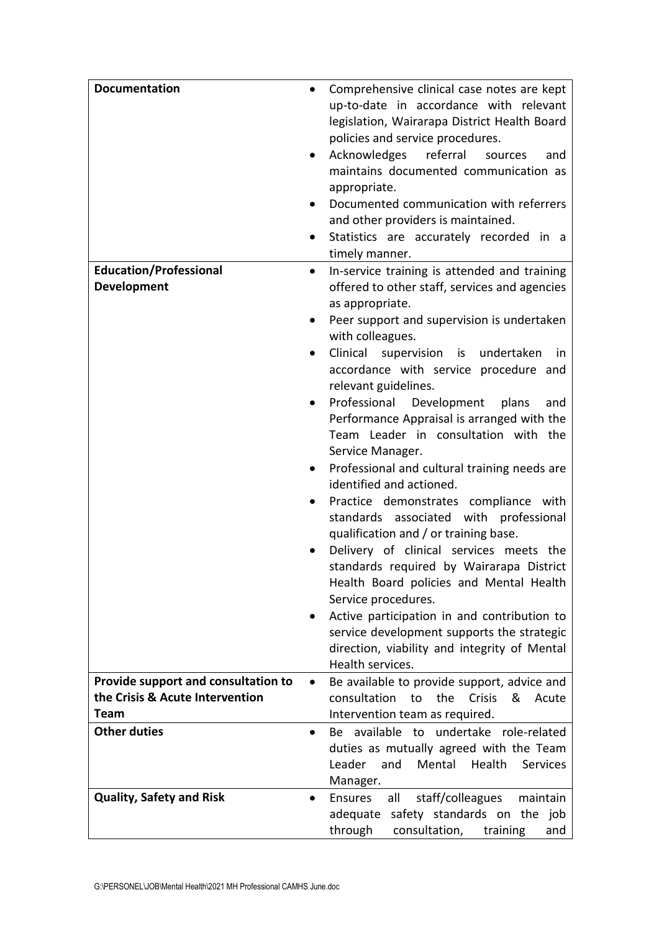| <b>Documentation</b>                                | Comprehensive clinical case notes are kept<br>up-to-date in accordance with relevant<br>legislation, Wairarapa District Health Board<br>policies and service procedures.<br>Acknowledges<br>referral<br>sources<br>and<br>maintains documented communication as |
|-----------------------------------------------------|-----------------------------------------------------------------------------------------------------------------------------------------------------------------------------------------------------------------------------------------------------------------|
|                                                     | appropriate.<br>Documented communication with referrers<br>٠                                                                                                                                                                                                    |
|                                                     | and other providers is maintained.                                                                                                                                                                                                                              |
|                                                     | Statistics are accurately recorded in a<br>$\bullet$                                                                                                                                                                                                            |
|                                                     | timely manner.                                                                                                                                                                                                                                                  |
| <b>Education/Professional</b><br><b>Development</b> | In-service training is attended and training<br>$\bullet$                                                                                                                                                                                                       |
|                                                     | offered to other staff, services and agencies<br>as appropriate.                                                                                                                                                                                                |
|                                                     | Peer support and supervision is undertaken                                                                                                                                                                                                                      |
|                                                     | with colleagues.                                                                                                                                                                                                                                                |
|                                                     | Clinical supervision is undertaken<br>in in<br>$\bullet$                                                                                                                                                                                                        |
|                                                     | accordance with service procedure and                                                                                                                                                                                                                           |
|                                                     | relevant guidelines.                                                                                                                                                                                                                                            |
|                                                     | Professional Development<br>plans<br>and<br>$\bullet$                                                                                                                                                                                                           |
|                                                     | Performance Appraisal is arranged with the<br>Team Leader in consultation with the                                                                                                                                                                              |
|                                                     | Service Manager.                                                                                                                                                                                                                                                |
|                                                     | Professional and cultural training needs are                                                                                                                                                                                                                    |
|                                                     | identified and actioned.                                                                                                                                                                                                                                        |
|                                                     | Practice demonstrates compliance with<br>$\bullet$                                                                                                                                                                                                              |
|                                                     | standards associated with professional<br>qualification and / or training base.                                                                                                                                                                                 |
|                                                     | Delivery of clinical services meets the                                                                                                                                                                                                                         |
|                                                     | standards required by Wairarapa District                                                                                                                                                                                                                        |
|                                                     | Health Board policies and Mental Health                                                                                                                                                                                                                         |
|                                                     | Service procedures.                                                                                                                                                                                                                                             |
|                                                     | Active participation in and contribution to                                                                                                                                                                                                                     |
|                                                     | service development supports the strategic                                                                                                                                                                                                                      |
|                                                     | direction, viability and integrity of Mental                                                                                                                                                                                                                    |
|                                                     | Health services.                                                                                                                                                                                                                                                |
| Provide support and consultation to                 | Be available to provide support, advice and<br>٠                                                                                                                                                                                                                |
| the Crisis & Acute Intervention                     | consultation<br>the<br>Crisis<br>to<br>&<br>Acute                                                                                                                                                                                                               |
| <b>Team</b>                                         | Intervention team as required.                                                                                                                                                                                                                                  |
| <b>Other duties</b>                                 | Be available to undertake role-related<br>duties as mutually agreed with the Team                                                                                                                                                                               |
|                                                     | Leader<br>and<br>Mental<br>Health<br><b>Services</b>                                                                                                                                                                                                            |
|                                                     | Manager.                                                                                                                                                                                                                                                        |
| <b>Quality, Safety and Risk</b>                     | staff/colleagues<br><b>Ensures</b><br>all<br>maintain                                                                                                                                                                                                           |
|                                                     | safety standards on the job<br>adequate                                                                                                                                                                                                                         |
|                                                     | through<br>consultation,<br>training<br>and                                                                                                                                                                                                                     |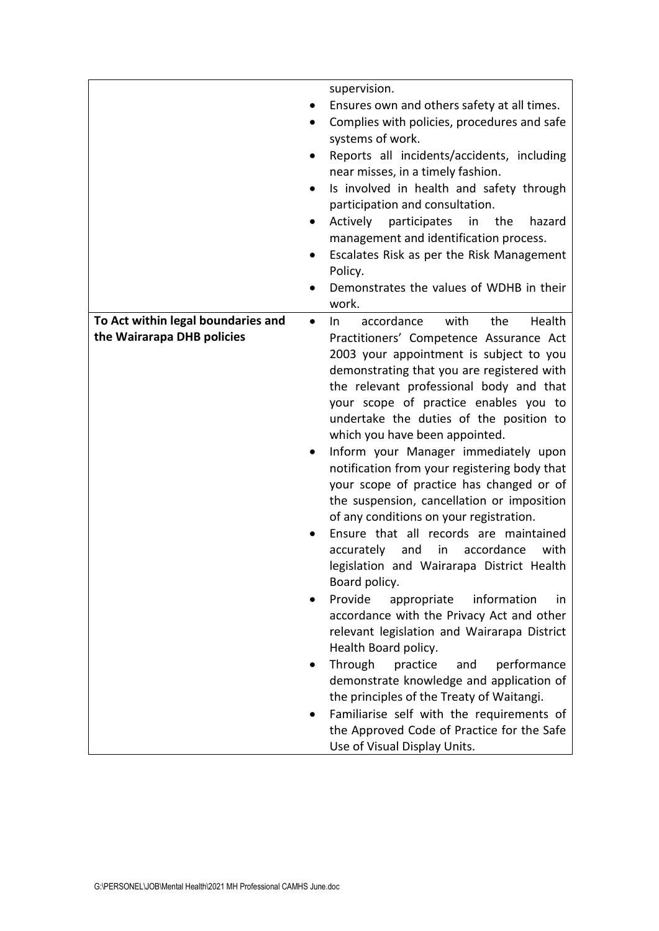|                                                                  | supervision.<br>Ensures own and others safety at all times.<br>Complies with policies, procedures and safe<br>$\bullet$<br>systems of work.<br>Reports all incidents/accidents, including<br>near misses, in a timely fashion.<br>Is involved in health and safety through<br>participation and consultation.<br>Actively<br>participates<br>hazard<br>in<br>the<br>management and identification process.<br>Escalates Risk as per the Risk Management<br>Policy.<br>Demonstrates the values of WDHB in their<br>work.                                                                                                                                                                                                                                                                                                                                                                                                                                                                                                                                                                                                                                                                 |
|------------------------------------------------------------------|-----------------------------------------------------------------------------------------------------------------------------------------------------------------------------------------------------------------------------------------------------------------------------------------------------------------------------------------------------------------------------------------------------------------------------------------------------------------------------------------------------------------------------------------------------------------------------------------------------------------------------------------------------------------------------------------------------------------------------------------------------------------------------------------------------------------------------------------------------------------------------------------------------------------------------------------------------------------------------------------------------------------------------------------------------------------------------------------------------------------------------------------------------------------------------------------|
| To Act within legal boundaries and<br>the Wairarapa DHB policies | accordance<br>Health<br>with<br>the<br>In.<br>$\bullet$<br>Practitioners' Competence Assurance Act<br>2003 your appointment is subject to you<br>demonstrating that you are registered with<br>the relevant professional body and that<br>your scope of practice enables you to<br>undertake the duties of the position to<br>which you have been appointed.<br>Inform your Manager immediately upon<br>notification from your registering body that<br>your scope of practice has changed or of<br>the suspension, cancellation or imposition<br>of any conditions on your registration.<br>Ensure that all records are maintained<br>accurately<br>and<br>accordance<br>with<br>in<br>legislation and Wairarapa District Health<br>Board policy.<br>Provide<br>appropriate<br>information<br>in.<br>accordance with the Privacy Act and other<br>relevant legislation and Wairarapa District<br>Health Board policy.<br>Through<br>practice<br>performance<br>and<br>demonstrate knowledge and application of<br>the principles of the Treaty of Waitangi.<br>Familiarise self with the requirements of<br>the Approved Code of Practice for the Safe<br>Use of Visual Display Units. |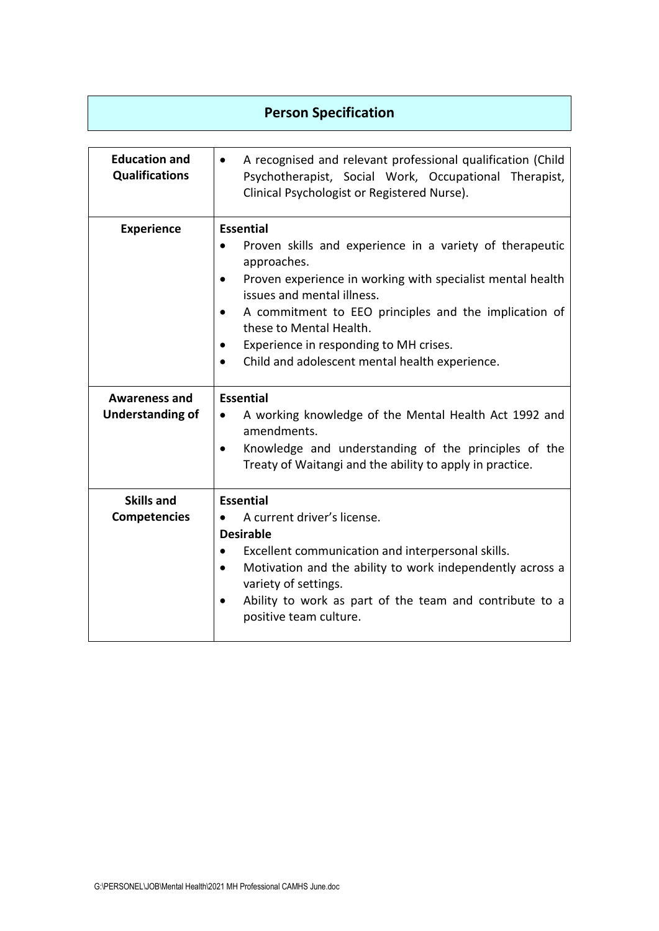## **Person Specification**

| <b>Education and</b><br><b>Qualifications</b>   | A recognised and relevant professional qualification (Child<br>$\bullet$<br>Psychotherapist, Social Work, Occupational Therapist,<br>Clinical Psychologist or Registered Nurse).                                                                                                                                                                                                                  |
|-------------------------------------------------|---------------------------------------------------------------------------------------------------------------------------------------------------------------------------------------------------------------------------------------------------------------------------------------------------------------------------------------------------------------------------------------------------|
| <b>Experience</b>                               | <b>Essential</b><br>Proven skills and experience in a variety of therapeutic<br>approaches.<br>Proven experience in working with specialist mental health<br>issues and mental illness.<br>A commitment to EEO principles and the implication of<br>$\bullet$<br>these to Mental Health.<br>Experience in responding to MH crises.<br>Child and adolescent mental health experience.<br>$\bullet$ |
| <b>Awareness and</b><br><b>Understanding of</b> | <b>Essential</b><br>A working knowledge of the Mental Health Act 1992 and<br>amendments.<br>Knowledge and understanding of the principles of the<br>Treaty of Waitangi and the ability to apply in practice.                                                                                                                                                                                      |
| <b>Skills and</b><br><b>Competencies</b>        | <b>Essential</b><br>A current driver's license.<br><b>Desirable</b><br>Excellent communication and interpersonal skills.<br>Motivation and the ability to work independently across a<br>variety of settings.<br>Ability to work as part of the team and contribute to a<br>positive team culture.                                                                                                |